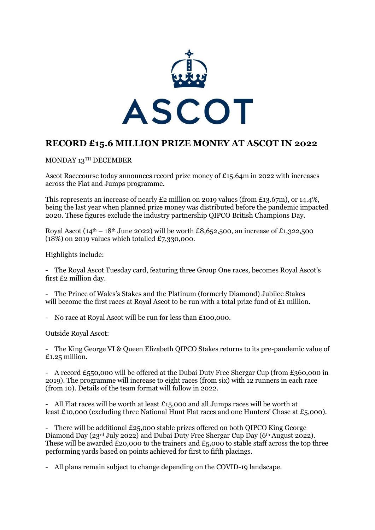

# **RECORD £15.6 MILLION PRIZE MONEY AT ASCOT IN 2022**

MONDAY 13TH DECEMBER

Ascot Racecourse today announces record prize money of £15.64m in 2022 with increases across the Flat and Jumps programme.

This represents an increase of nearly £2 million on 2019 values (from £13.67m), or 14.4%, being the last year when planned prize money was distributed before the pandemic impacted 2020. These figures exclude the industry partnership QIPCO British Champions Day.

Royal Ascot ( $14<sup>th</sup> - 18<sup>th</sup>$  June 2022) will be worth £8,652,500, an increase of £1,322,500 (18%) on 2019 values which totalled £7,330,000.

Highlights include:

- The Royal Ascot Tuesday card, featuring three Group One races, becomes Royal Ascot's first £2 million day.

- The Prince of Wales's Stakes and the Platinum (formerly Diamond) Jubilee Stakes will become the first races at Royal Ascot to be run with a total prize fund of  $\mathcal{E}_1$  million.

- No race at Royal Ascot will be run for less than £100,000.

Outside Royal Ascot:

- The King George VI & Queen Elizabeth QIPCO Stakes returns to its pre-pandemic value of £1.25 million.

- A record £550,000 will be offered at the Dubai Duty Free Shergar Cup (from £360,000 in 2019). The programme will increase to eight races (from six) with 12 runners in each race (from 10). Details of the team format will follow in 2022.

- All Flat races will be worth at least £15,000 and all Jumps races will be worth at least £10,000 (excluding three National Hunt Flat races and one Hunters' Chase at £5,000).

- There will be additional £25,000 stable prizes offered on both QIPCO King George Diamond Day (23rd July 2022) and Dubai Duty Free Shergar Cup Day (6th August 2022). These will be awarded £20,000 to the trainers and £5,000 to stable staff across the top three performing yards based on points achieved for first to fifth placings.

- All plans remain subject to change depending on the COVID-19 landscape.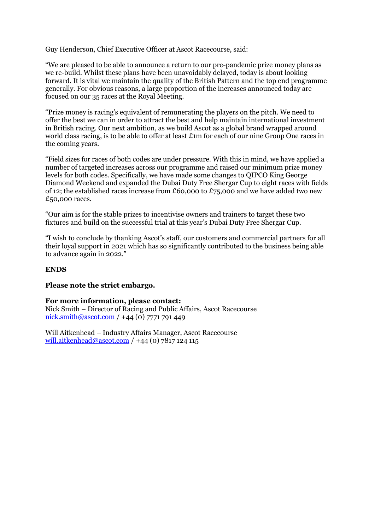Guy Henderson, Chief Executive Officer at Ascot Racecourse, said:

"We are pleased to be able to announce a return to our pre-pandemic prize money plans as we re-build. Whilst these plans have been unavoidably delayed, today is about looking forward. It is vital we maintain the quality of the British Pattern and the top end programme generally. For obvious reasons, a large proportion of the increases announced today are focused on our 35 races at the Royal Meeting.

"Prize money is racing's equivalent of remunerating the players on the pitch. We need to offer the best we can in order to attract the best and help maintain international investment in British racing. Our next ambition, as we build Ascot as a global brand wrapped around world class racing, is to be able to offer at least £1m for each of our nine Group One races in the coming years.

"Field sizes for races of both codes are under pressure. With this in mind, we have applied a number of targeted increases across our programme and raised our minimum prize money levels for both codes. Specifically, we have made some changes to QIPCO King George Diamond Weekend and expanded the Dubai Duty Free Shergar Cup to eight races with fields of 12; the established races increase from £60,000 to £75,000 and we have added two new £50,000 races.

"Our aim is for the stable prizes to incentivise owners and trainers to target these two fixtures and build on the successful trial at this year's Dubai Duty Free Shergar Cup.

"I wish to conclude by thanking Ascot's staff, our customers and commercial partners for all their loyal support in 2021 which has so significantly contributed to the business being able to advance again in 2022."

### **ENDS**

#### **Please note the strict embargo.**

#### **For more information, please contact:**

Nick Smith – Director of Racing and Public Affairs, Ascot Racecourse [nick.smith@ascot.com](mailto:nick.smith@ascot.com) / +44 (0) 7771 791 449

Will Aitkenhead – Industry Affairs Manager, Ascot Racecourse [will.aitkenhead@ascot.com](mailto:will.aitkenhead@ascot.com) / +44 (0) 7817 124 115